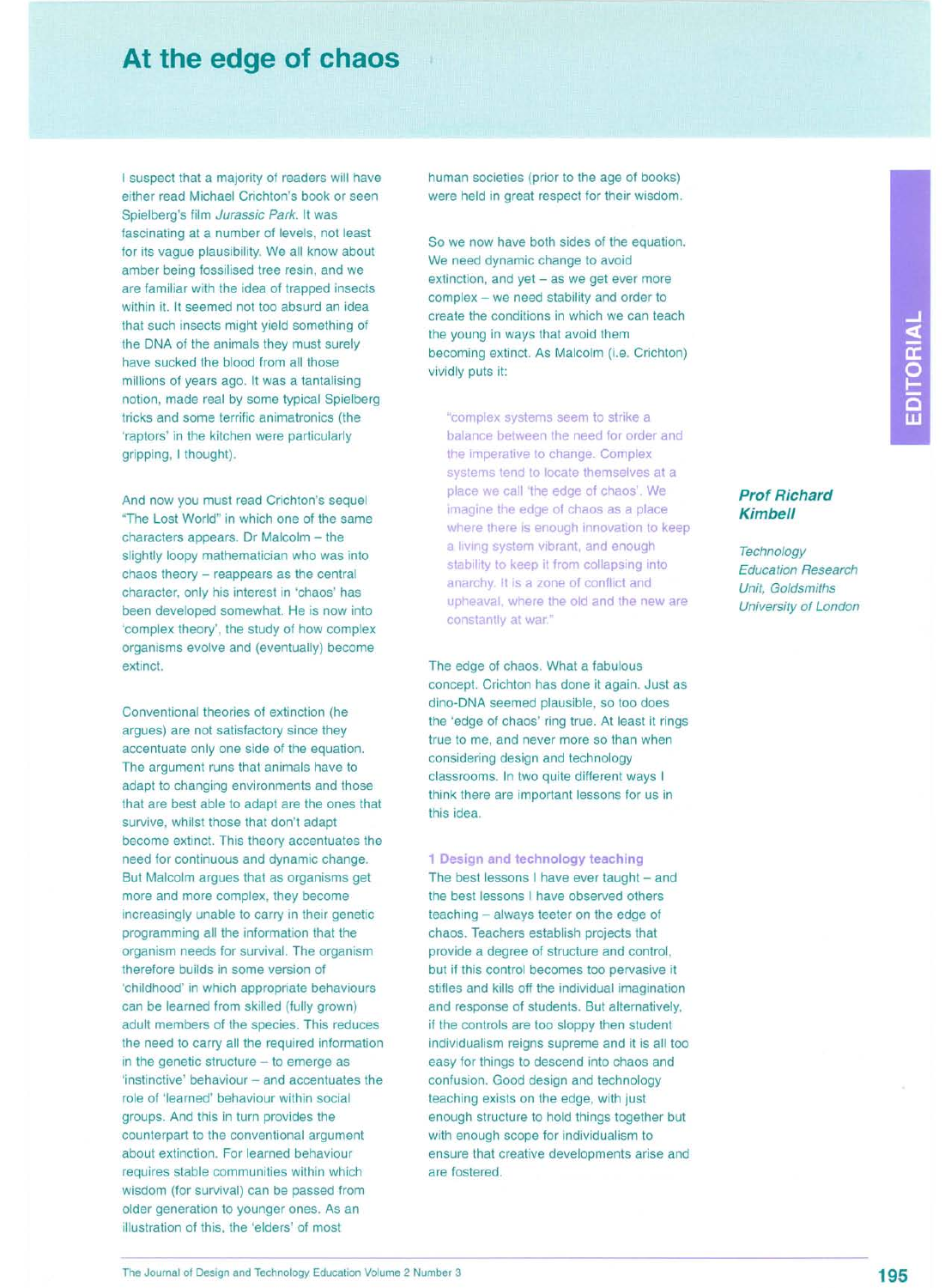## **At the edge of chaos**

I suspect that a majority of readers will have either read Michael Crichton's book or seen Spielberg's film *Jurassic Park.* It was fascinating at a number of levels, not least for its vague plausibility. We all know about amber being fossilised tree resin, and we are familiar with the idea of trapped insects within it. It seemed not too absurd an idea that such insects might yield something of the DNA of the animals they must surely have sucked the blood from all those millions of years ago. It was a tantalising notion, made real by some typical Spielberg tricks and some terrific animatronics (the 'raptors' in the kitchen were particularly gripping, I thought).

And now you must read Crichton's sequel "The Lost World" in which one of the same characters appears. Dr Malcolm - the slightly loopy mathematician who was into chaos theory - reappears as the central character, only his interest in 'chaos' has been developed somewhat. He is now into 'complex theory', the study of how complex organisms evolve and (eventually) become extinct.

Conventional theories of extinction (he argues) are not satisfactory since they accentuate only one side of the equation. The argument runs that animals have to adapt to changing environments and those that are best able to adapt are the ones that survive, whilst those that don't adapt become extinct. This theory accentuates the need for continuous and dynamic change. But Malcolm argues that as organisms get more and more complex, they become increasingly unable to carry in their genetic programming all the information that the organism needs for survival. The organism therefore builds in some version of 'childhood' in which appropriate behaviours can be learned from skilled (fully grown) adult members of the species. This reduces the need to carry all the required information in the genetic structure  $-$  to emerge as 'instinctive' behaviour - and accentuates the role of 'learned' behaviour within social groups. And this in turn provides the counterpart to the conventional argument about extinction. For learned behaviour requires stable communities within which wisdom (for survival) can be passed from older generation to younger ones. As an illustration of this, the 'elders' of most

human societies (prior to the age of books) were held in great respect for their wisdom.

So we now have both sides of the equation. We need dynamic change to avoid  $extinction$ , and  $yet - as we get ever more$ complex - we need stability and order to create the conditions in which we can teach the young in ways that avoid them becoming extinct. As Malcolm (i.e. Crichton) vividly puts it:

"complex systems seem to strike a balance between the need for order and the imperative to change. Complex systems tend to locate themselves at a place we call 'the edge of chaos'. We imagine the edge of chaos as a place where there is enough innovation to keep a living system vibrant, and enough stability to keep it from collapsing into anarchy. It is a zone of conflict and upheaval, where the old and the new are constantly at war."

The edge of chaos. What a fabulous concept. Crichton has done it again. Just as dino-DNA seemed plausible, so too does the 'edge of chaos' ring true. At least it rings true to me, and never more so than when considering design and technology classrooms. In two quite different ways I think there are important lessons for us in this idea.

**1 Design and technology teaching** The best lessons I have ever taught  $-$  and the best lessons I have observed others teaching - always teeter on the edge of chaos. Teachers establish projects that provide a degree of structure and control, but if this control becomes too pervasive it stifles and kills off the individual imagination and response of students. But alternatively, if the controls are too sloppy then student individualism reigns supreme and it is all too easy for things to descend into chaos and confusion. Good design and technology teaching exists on the edge, with just enough structure to hold things together but with enough scope for individualism to ensure that creative developments arise and are fostered.

EDITORIAL

## *Prof Richard Kimbell*

*Technology Education Research Unit, Goldsmiths University of London*